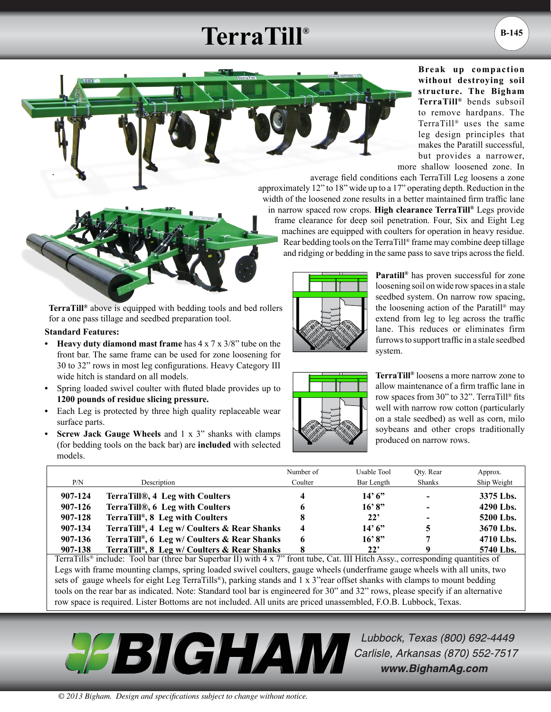## **TerraTill®**



**Break up compaction without destroying soil structure. The Bigham TerraTill®** bends subsoil to remove hardpans. The TerraTill® uses the same leg design principles that makes the Paratill successful, but provides a narrower, more shallow loosened zone. In

average field conditions each TerraTill Leg loosens a zone approximately 12" to 18" wide up to a 17" operating depth. Reduction in the width of the loosened zone results in a better maintained firm traffic lane in narrow spaced row crops. **High clearance TerraTill®** Legs provide frame clearance for deep soil penetration. Four, Six and Eight Leg machines are equipped with coulters for operation in heavy residue. Rear bedding tools on the TerraTill® frame may combine deep tillage and ridging or bedding in the same pass to save trips across the field.

**TerraTill®** above is equipped with bedding tools and bed rollers for a one pass tillage and seedbed preparation tool.

## **Standard Features:**

- **• Heavy duty diamond mast frame** has 4 x 7 x 3/8" tube on the front bar. The same frame can be used for zone loosening for 30 to 32" rows in most leg configurations. Heavy Category III wide hitch is standard on all models.
- **•** Spring loaded swivel coulter with fluted blade provides up to **1200 pounds of residue slicing pressure.**
- **•** Each Leg is protected by three high quality replaceable wear surface parts.
- **Screw Jack Gauge Wheels** and 1 x 3" shanks with clamps (for bedding tools on the back bar) are **included** with selected models.



**Paratill®** has proven successful for zone loosening soil on wide row spaces in a stale seedbed system. On narrow row spacing, the loosening action of the Paratill® may extend from leg to leg across the traffic lane. This reduces or eliminates firm furrows to support traffic in a stale seedbed system.



**TerraTill®** loosens a more narrow zone to allow maintenance of a firm traffic lane in row spaces from 30" to 32". TerraTill® fits well with narrow row cotton (particularly on a stale seedbed) as well as corn, milo soybeans and other crops traditionally produced on narrow rows.

|         |                                             | Number of               | Usable Tool  | Oty. Rear                | Approx.     |
|---------|---------------------------------------------|-------------------------|--------------|--------------------------|-------------|
| P/N     | Description                                 | Coulter                 | Bar Length   | Shanks                   | Ship Weight |
| 907-124 | TerraTill®, 4 Leg with Coulters             | 4                       | 14'6''       | $\sim$                   | 3375 Lbs.   |
| 907-126 | TerraTill®, 6 Leg with Coulters             | 6                       | 16'8"        | $\overline{\phantom{0}}$ | 4290 Lbs.   |
| 907-128 | TerraTill®, 8 Leg with Coulters             |                         | 22'          | -                        | 5200 Lbs.   |
| 907-134 | TerraTill®, 4 Leg w/ Coulters & Rear Shanks | $\overline{\mathbf{4}}$ | 14'6''       |                          | 3670 Lbs.   |
| 907-136 | TerraTill®, 6 Leg w/ Coulters & Rear Shanks | 6                       | 16'8"        |                          | 4710 Lbs.   |
| 907-138 | TerraTill®, 8 Leg w/ Coulters & Rear Shanks | 8                       | $22^{\circ}$ |                          | 5740 Lbs.   |

TerraTills® include: Tool bar (three bar Superbar II) with 4 x 7" front tube, Cat. III Hitch Assy., corresponding quantities of Legs with frame mounting clamps, spring loaded swivel coulters, gauge wheels (underframe gauge wheels with all units, two sets of gauge wheels for eight Leg TerraTills®), parking stands and 1 x 3"rear offset shanks with clamps to mount bedding tools on the rear bar as indicated. Note: Standard tool bar is engineered for 30" and 32" rows, please specify if an alternative row space is required. Lister Bottoms are not included. All units are priced unassembled, F.O.B. Lubbock, Texas.



Lubbock, Texas (800) 692-4449 Carlisle, Arkansas (870) 552-7517 www.BighamAg.com